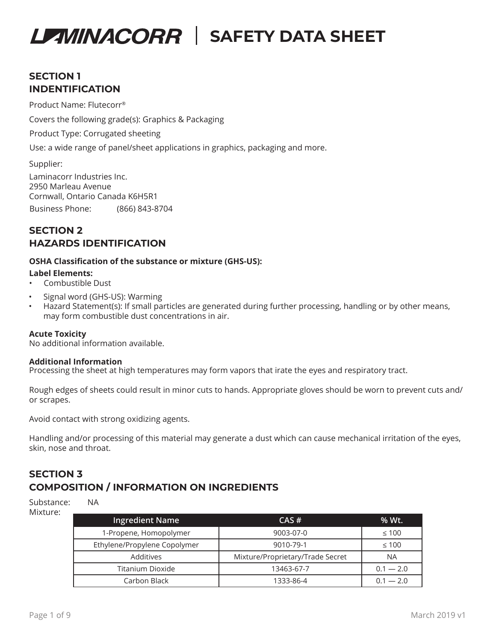# **SECTION 1 INDENTIFICATION**

Product Name: Flutecorr®

Covers the following grade(s): Graphics & Packaging

Product Type: Corrugated sheeting

Use: a wide range of panel/sheet applications in graphics, packaging and more.

Supplier:

Business Phone: (866) 843-8704 Laminacorr Industries Inc. 2950 Marleau Avenue Cornwall, Ontario Canada K6H5R1

## **SECTION 2 HAZARDS IDENTIFICATION**

#### **OSHA Classification of the substance or mixture (GHS-US):**

#### **Label Elements:**

- Combustible Dust
- Signal word (GHS-US): Warming
- Hazard Statement(s): If small particles are generated during further processing, handling or by other means, may form combustible dust concentrations in air.

#### **Acute Toxicity**

No additional information available.

#### **Additional Information**

Processing the sheet at high temperatures may form vapors that irate the eyes and respiratory tract.

Rough edges of sheets could result in minor cuts to hands. Appropriate gloves should be worn to prevent cuts and/ or scrapes.

Avoid contact with strong oxidizing agents.

Handling and/or processing of this material may generate a dust which can cause mechanical irritation of the eyes, skin, nose and throat.

## **SECTION 3 COMPOSITION / INFORMATION ON INGREDIENTS**

Substance: NA Mixture:

| <b>Ingredient Name</b>       | $CAS \#$                         | % Wt.       |
|------------------------------|----------------------------------|-------------|
| 1-Propene, Homopolymer       | 9003-07-0                        | $\leq 100$  |
| Ethylene/Propylene Copolymer | 9010-79-1                        | $\leq 100$  |
| Additives                    | Mixture/Proprietary/Trade Secret | <b>NA</b>   |
| Titanium Dioxide             | 13463-67-7                       | $0.1 - 2.0$ |
| Carbon Black                 | 1333-86-4                        | $0.1 - 2.0$ |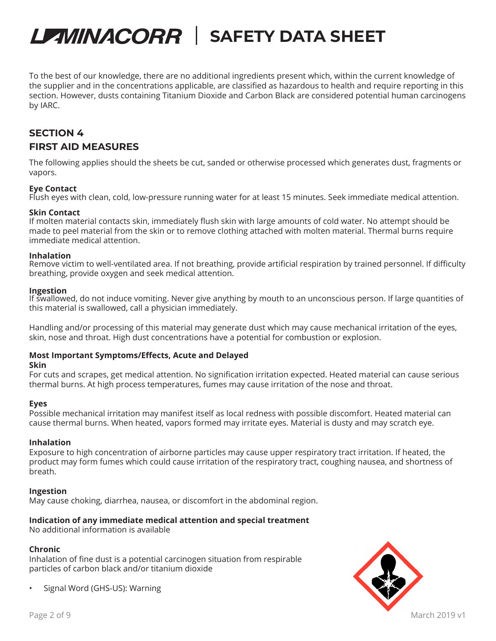To the best of our knowledge, there are no additional ingredients present which, within the current knowledge of the supplier and in the concentrations applicable, are classified as hazardous to health and require reporting in this section. However, dusts containing Titanium Dioxide and Carbon Black are considered potential human carcinogens by IARC.

# **SECTION 4 FIRST AID MEASURES**

The following applies should the sheets be cut, sanded or otherwise processed which generates dust, fragments or vapors.

#### **Eye Contact**

Flush eyes with clean, cold, low-pressure running water for at least 15 minutes. Seek immediate medical attention.

#### **Skin Contact**

If molten material contacts skin, immediately flush skin with large amounts of cold water. No attempt should be made to peel material from the skin or to remove clothing attached with molten material. Thermal burns require immediate medical attention.

#### **Inhalation**

Remove victim to well-ventilated area. If not breathing, provide artificial respiration by trained personnel. If difficulty breathing, provide oxygen and seek medical attention.

#### **Ingestion**

If swallowed, do not induce vomiting. Never give anything by mouth to an unconscious person. If large quantities of this material is swallowed, call a physician immediately.

Handling and/or processing of this material may generate dust which may cause mechanical irritation of the eyes, skin, nose and throat. High dust concentrations have a potential for combustion or explosion.

#### **Most Important Symptoms/Effects, Acute and Delayed**

#### **Skin**

For cuts and scrapes, get medical attention. No signification irritation expected. Heated material can cause serious thermal burns. At high process temperatures, fumes may cause irritation of the nose and throat.

#### **Eyes**

Possible mechanical irritation may manifest itself as local redness with possible discomfort. Heated material can cause thermal burns. When heated, vapors formed may irritate eyes. Material is dusty and may scratch eye.

#### **Inhalation**

Exposure to high concentration of airborne particles may cause upper respiratory tract irritation. If heated, the product may form fumes which could cause irritation of the respiratory tract, coughing nausea, and shortness of breath.

#### **Ingestion**

May cause choking, diarrhea, nausea, or discomfort in the abdominal region.

### **Indication of any immediate medical attention and special treatment**

No additional information is available

#### **Chronic**

Inhalation of fine dust is a potential carcinogen situation from respirable particles of carbon black and/or titanium dioxide

• Signal Word (GHS-US): Warning

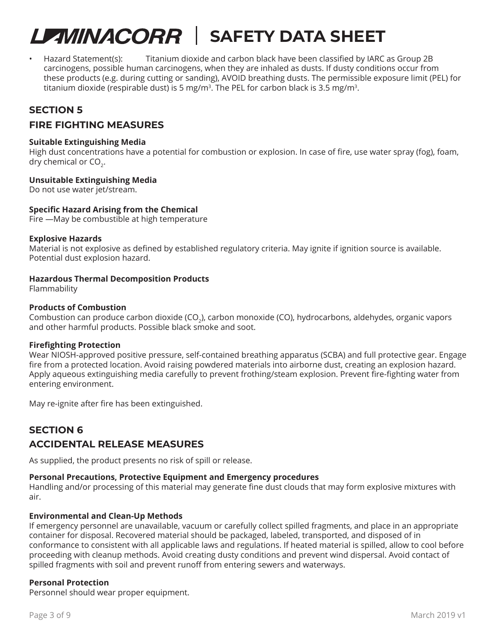• Hazard Statement(s): Titanium dioxide and carbon black have been classified by IARC as Group 2B carcinogens, possible human carcinogens, when they are inhaled as dusts. If dusty conditions occur from these products (e.g. during cutting or sanding), AVOID breathing dusts. The permissible exposure limit (PEL) for titanium dioxide (respirable dust) is 5 mg/m<sup>3</sup>. The PEL for carbon black is 3.5 mg/m<sup>3</sup>.

## **SECTION 5**

## **FIRE FIGHTING MEASURES**

#### **Suitable Extinguishing Media**

High dust concentrations have a potential for combustion or explosion. In case of fire, use water spray (fog), foam, dry chemical or  $CO<sub>2</sub>$ .

#### **Unsuitable Extinguishing Media**

Do not use water jet/stream.

#### **Specific Hazard Arising from the Chemical**

Fire —May be combustible at high temperature

#### **Explosive Hazards**

Material is not explosive as defined by established regulatory criteria. May ignite if ignition source is available. Potential dust explosion hazard.

#### **Hazardous Thermal Decomposition Products**

Flammability

#### **Products of Combustion**

Combustion can produce carbon dioxide (CO<sub>2</sub>), carbon monoxide (CO), hydrocarbons, aldehydes, organic vapors and other harmful products. Possible black smoke and soot.

#### **Firefighting Protection**

Wear NIOSH-approved positive pressure, self-contained breathing apparatus (SCBA) and full protective gear. Engage fire from a protected location. Avoid raising powdered materials into airborne dust, creating an explosion hazard. Apply aqueous extinguishing media carefully to prevent frothing/steam explosion. Prevent fire-fighting water from entering environment.

May re-ignite after fire has been extinguished.

### **SECTION 6**

## **ACCIDENTAL RELEASE MEASURES**

As supplied, the product presents no risk of spill or release.

#### **Personal Precautions, Protective Equipment and Emergency procedures**

Handling and/or processing of this material may generate fine dust clouds that may form explosive mixtures with air.

#### **Environmental and Clean-Up Methods**

If emergency personnel are unavailable, vacuum or carefully collect spilled fragments, and place in an appropriate container for disposal. Recovered material should be packaged, labeled, transported, and disposed of in conformance to consistent with all applicable laws and regulations. If heated material is spilled, allow to cool before proceeding with cleanup methods. Avoid creating dusty conditions and prevent wind dispersal. Avoid contact of spilled fragments with soil and prevent runoff from entering sewers and waterways.

### **Personal Protection**

Personnel should wear proper equipment.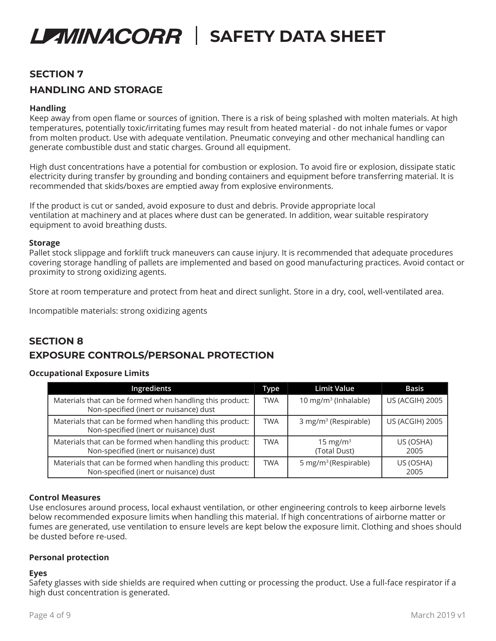## **SECTION 7**

## **HANDLING AND STORAGE**

#### **Handling**

Keep away from open flame or sources of ignition. There is a risk of being splashed with molten materials. At high temperatures, potentially toxic/irritating fumes may result from heated material - do not inhale fumes or vapor from molten product. Use with adequate ventilation. Pneumatic conveying and other mechanical handling can generate combustible dust and static charges. Ground all equipment.

High dust concentrations have a potential for combustion or explosion. To avoid fire or explosion, dissipate static electricity during transfer by grounding and bonding containers and equipment before transferring material. It is recommended that skids/boxes are emptied away from explosive environments.

If the product is cut or sanded, avoid exposure to dust and debris. Provide appropriate local ventilation at machinery and at places where dust can be generated. In addition, wear suitable respiratory equipment to avoid breathing dusts.

#### **Storage**

Pallet stock slippage and forklift truck maneuvers can cause injury. It is recommended that adequate procedures covering storage handling of pallets are implemented and based on good manufacturing practices. Avoid contact or proximity to strong oxidizing agents.

Store at room temperature and protect from heat and direct sunlight. Store in a dry, cool, well-ventilated area.

Incompatible materials: strong oxidizing agents

## **SECTION 8 EXPOSURE CONTROLS/PERSONAL PROTECTION**

#### **Occupational Exposure Limits**

| Ingredients                                                                                        |  | <b>Limit Value</b>                   | <b>Basis</b>           |
|----------------------------------------------------------------------------------------------------|--|--------------------------------------|------------------------|
| Materials that can be formed when handling this product:<br>Non-specified (inert or nuisance) dust |  | 10 mg/m <sup>3</sup> (Inhalable)     | <b>US (ACGIH) 2005</b> |
| Materials that can be formed when handling this product:<br>Non-specified (inert or nuisance) dust |  | 3 mg/m <sup>3</sup> (Respirable)     | <b>US (ACGIH) 2005</b> |
| Materials that can be formed when handling this product:<br>Non-specified (inert or nuisance) dust |  | 15 mg/m <sup>3</sup><br>(Total Dust) | US (OSHA)<br>2005      |
| Materials that can be formed when handling this product:<br>Non-specified (inert or nuisance) dust |  | 5 mg/m <sup>3</sup> (Respirable)     | US (OSHA)<br>2005      |

#### **Control Measures**

Use enclosures around process, local exhaust ventilation, or other engineering controls to keep airborne levels below recommended exposure limits when handling this material. If high concentrations of airborne matter or fumes are generated, use ventilation to ensure levels are kept below the exposure limit. Clothing and shoes should be dusted before re-used.

#### **Personal protection**

#### **Eyes**

Safety glasses with side shields are required when cutting or processing the product. Use a full-face respirator if a high dust concentration is generated.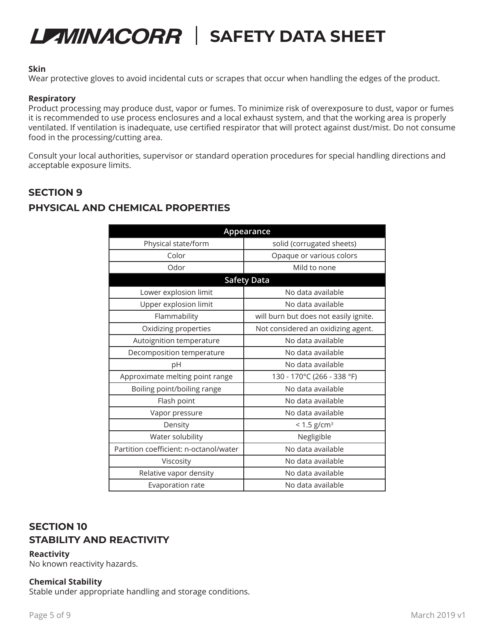#### **Skin**

Wear protective gloves to avoid incidental cuts or scrapes that occur when handling the edges of the product.

#### **Respiratory**

Product processing may produce dust, vapor or fumes. To minimize risk of overexposure to dust, vapor or fumes it is recommended to use process enclosures and a local exhaust system, and that the working area is properly ventilated. If ventilation is inadequate, use certified respirator that will protect against dust/mist. Do not consume food in the processing/cutting area.

Consult your local authorities, supervisor or standard operation procedures for special handling directions and acceptable exposure limits.

### **SECTION 9**

### **PHYSICAL AND CHEMICAL PROPERTIES**

| Appearance                             |                                       |  |  |  |
|----------------------------------------|---------------------------------------|--|--|--|
| Physical state/form                    | solid (corrugated sheets)             |  |  |  |
| Color                                  | Opaque or various colors              |  |  |  |
| Odor                                   | Mild to none                          |  |  |  |
| <b>Safety Data</b>                     |                                       |  |  |  |
| Lower explosion limit                  | No data available                     |  |  |  |
| Upper explosion limit                  | No data available                     |  |  |  |
| Flammability                           | will burn but does not easily ignite. |  |  |  |
| Oxidizing properties                   | Not considered an oxidizing agent.    |  |  |  |
| Autoignition temperature               | No data available                     |  |  |  |
| Decomposition temperature              | No data available                     |  |  |  |
| рH                                     | No data available                     |  |  |  |
| Approximate melting point range        | 130 - 170°C (266 - 338 °F)            |  |  |  |
| Boiling point/boiling range            | No data available                     |  |  |  |
| Flash point                            | No data available                     |  |  |  |
| Vapor pressure                         | No data available                     |  |  |  |
| Density                                | $< 1.5$ g/cm <sup>3</sup>             |  |  |  |
| Water solubility                       | Negligible                            |  |  |  |
| Partition coefficient: n-octanol/water | No data available                     |  |  |  |
| Viscosity                              | No data available                     |  |  |  |
| Relative vapor density                 | No data available                     |  |  |  |
| Evaporation rate                       | No data available                     |  |  |  |

## **SECTION 10 STABILITY AND REACTIVITY**

#### **Reactivity**

No known reactivity hazards.

#### **Chemical Stability**

Stable under appropriate handling and storage conditions.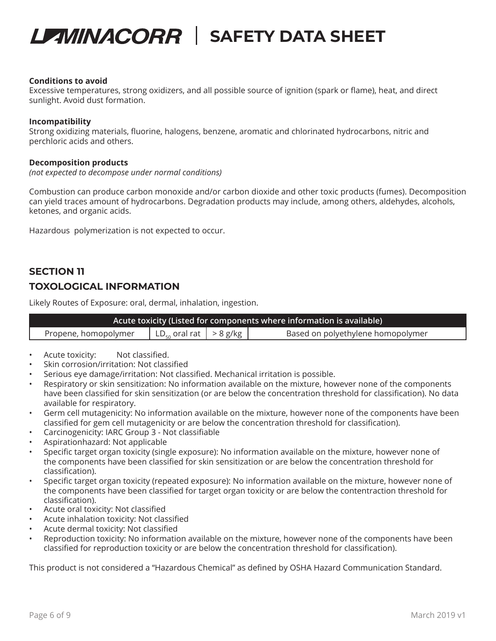

#### **Conditions to avoid**

Excessive temperatures, strong oxidizers, and all possible source of ignition (spark or flame), heat, and direct sunlight. Avoid dust formation.

#### **Incompatibility**

Strong oxidizing materials, fluorine, halogens, benzene, aromatic and chlorinated hydrocarbons, nitric and perchloric acids and others.

#### **Decomposition products**

*(not expected to decompose under normal conditions)*

Combustion can produce carbon monoxide and/or carbon dioxide and other toxic products (fumes). Decomposition can yield traces amount of hydrocarbons. Degradation products may include, among others, aldehydes, alcohols, ketones, and organic acids.

Hazardous polymerization is not expected to occur.

# **SECTION 11 TOXOLOGICAL INFORMATION**

Likely Routes of Exposure: oral, dermal, inhalation, ingestion.

| Acute toxicity (Listed for components where information is available) |                                                            |  |                                   |  |  |
|-----------------------------------------------------------------------|------------------------------------------------------------|--|-----------------------------------|--|--|
| Propene, homopolymer                                                  | $\vert$ LD <sub>50</sub> oral rat $\vert$ > 8 g/kg $\vert$ |  | Based on polyethylene homopolymer |  |  |

- Acute toxicity: Not classified.
- Skin corrosion/irritation: Not classified
- Serious eye damage/irritation: Not classified. Mechanical irritation is possible.
- Respiratory or skin sensitization: No information available on the mixture, however none of the components have been classified for skin sensitization (or are below the concentration threshold for classification). No data available for respiratory.
- Germ cell mutagenicity: No information available on the mixture, however none of the components have been classified for gem cell mutagenicity or are below the concentration threshold for classification).
- Carcinogenicity: IARC Group 3 Not classifiable
- Aspirationhazard: Not applicable
- Specific target organ toxicity (single exposure): No information available on the mixture, however none of the components have been classified for skin sensitization or are below the concentration threshold for classification).
- Specific target organ toxicity (repeated exposure): No information available on the mixture, however none of the components have been classified for target organ toxicity or are below the contentraction threshold for classification).
- Acute oral toxicity: Not classified
- Acute inhalation toxicity: Not classified
- Acute dermal toxicity: Not classified
- Reproduction toxicity: No information available on the mixture, however none of the components have been classified for reproduction toxicity or are below the concentration threshold for classification).

This product is not considered a "Hazardous Chemical" as defined by OSHA Hazard Communication Standard.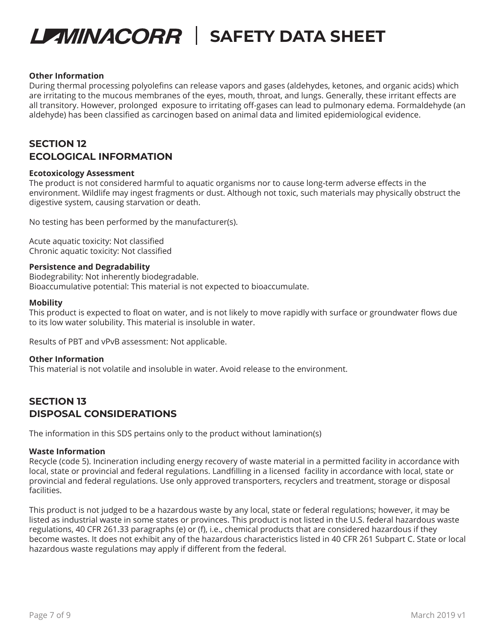#### **Other Information**

During thermal processing polyolefins can release vapors and gases (aldehydes, ketones, and organic acids) which are irritating to the mucous membranes of the eyes, mouth, throat, and lungs. Generally, these irritant effects are all transitory. However, prolonged exposure to irritating off-gases can lead to pulmonary edema. Formaldehyde (an aldehyde) has been classified as carcinogen based on animal data and limited epidemiological evidence.

## **SECTION 12 ECOLOGICAL INFORMATION**

#### **Ecotoxicology Assessment**

The product is not considered harmful to aquatic organisms nor to cause long-term adverse effects in the environment. Wildlife may ingest fragments or dust. Although not toxic, such materials may physically obstruct the digestive system, causing starvation or death.

No testing has been performed by the manufacturer(s).

Acute aquatic toxicity: Not classified Chronic aquatic toxicity: Not classified

#### **Persistence and Degradability**

Biodegrability: Not inherently biodegradable. Bioaccumulative potential: This material is not expected to bioaccumulate.

#### **Mobility**

This product is expected to float on water, and is not likely to move rapidly with surface or groundwater flows due to its low water solubility. This material is insoluble in water.

Results of PBT and vPvB assessment: Not applicable.

#### **Other Information**

This material is not volatile and insoluble in water. Avoid release to the environment.

## **SECTION 13 DISPOSAL CONSIDERATIONS**

The information in this SDS pertains only to the product without lamination(s)

#### **Waste Information**

Recycle (code 5). Incineration including energy recovery of waste material in a permitted facility in accordance with local, state or provincial and federal regulations. Landfilling in a licensed facility in accordance with local, state or provincial and federal regulations. Use only approved transporters, recyclers and treatment, storage or disposal facilities.

This product is not judged to be a hazardous waste by any local, state or federal regulations; however, it may be listed as industrial waste in some states or provinces. This product is not listed in the U.S. federal hazardous waste regulations, 40 CFR 261.33 paragraphs (e) or (f), i.e., chemical products that are considered hazardous if they become wastes. It does not exhibit any of the hazardous characteristics listed in 40 CFR 261 Subpart C. State or local hazardous waste regulations may apply if different from the federal.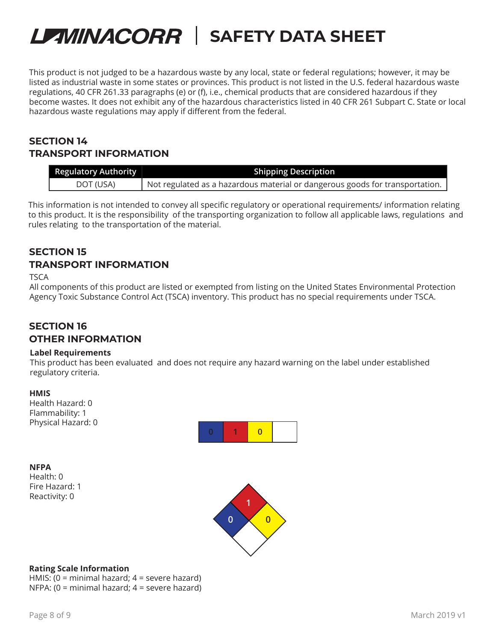This product is not judged to be a hazardous waste by any local, state or federal regulations; however, it may be listed as industrial waste in some states or provinces. This product is not listed in the U.S. federal hazardous waste regulations, 40 CFR 261.33 paragraphs (e) or (f), i.e., chemical products that are considered hazardous if they become wastes. It does not exhibit any of the hazardous characteristics listed in 40 CFR 261 Subpart C. State or local hazardous waste regulations may apply if different from the federal.

## **SECTION 14 TRANSPORT INFORMATION**

| <b>Regulatory Authority</b> | <b>Shipping Description</b>                                                  |
|-----------------------------|------------------------------------------------------------------------------|
| DOT (USA)                   | Not regulated as a hazardous material or dangerous goods for transportation. |

This information is not intended to convey all specific regulatory or operational requirements/ information relating to this product. It is the responsibility of the transporting organization to follow all applicable laws, regulations and rules relating to the transportation of the material.

## **SECTION 15 TRANSPORT INFORMATION**

#### **TSCA**

All components of this product are listed or exempted from listing on the United States Environmental Protection Agency Toxic Substance Control Act (TSCA) inventory. This product has no special requirements under TSCA.

### **SECTION 16 OTHER INFORMATION**

#### **Label Requirements**

This product has been evaluated and does not require any hazard warning on the label under established regulatory criteria.

**HMIS** Health Hazard: 0 Flammability: 1 Physical Hazard: 0



### **NFPA**

Health: 0 Fire Hazard: 1 Reactivity: 0



### **Rating Scale Information**

HMIS: (0 = minimal hazard; 4 = severe hazard) NFPA: (0 = minimal hazard; 4 = severe hazard)